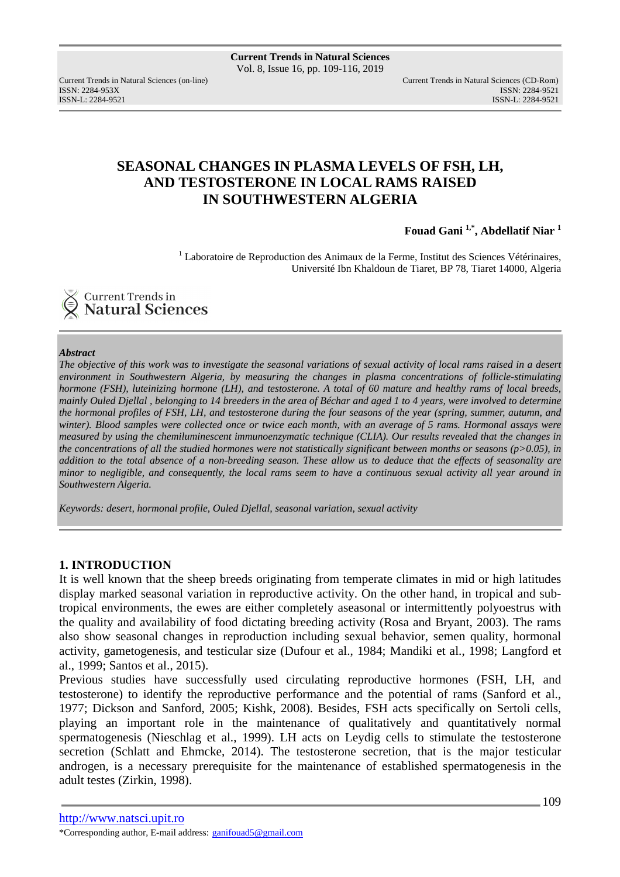ISSN: 2284-953XISSN: 2284-9521

Current Trends in Natural Sciences (on-line) Current Trends in Natural Sciences (CD-Rom) ISSN-L: 2284-9521

# **SEASONAL CHANGES IN PLASMA LEVELS OF FSH, LH, AND TESTOSTERONE IN LOCAL RAMS RAISED IN SOUTHWESTERN ALGERIA**

**Fouad Gani 1,\*, Abdellatif Niar <sup>1</sup>**

<sup>1</sup> Laboratoire de Reproduction des Animaux de la Ferme, Institut des Sciences Vétérinaires, Université Ibn Khaldoun de Tiaret*,* BP 78, Tiaret 14000, Algeria



#### *Abstract*

*The objective of this work was to investigate the seasonal variations of sexual activity of local rams raised in a desert environment in Southwestern Algeria, by measuring the changes in plasma concentrations of follicle-stimulating hormone (FSH), luteinizing hormone (LH), and testosterone. A total of 60 mature and healthy rams of local breeds, mainly Ouled Djellal , belonging to 14 breeders in the area of Béchar and aged 1 to 4 years, were involved to determine the hormonal profiles of FSH, LH, and testosterone during the four seasons of the year (spring, summer, autumn, and winter). Blood samples were collected once or twice each month, with an average of 5 rams. Hormonal assays were measured by using the chemiluminescent immunoenzymatic technique (CLIA). Our results revealed that the changes in the concentrations of all the studied hormones were not statistically significant between months or seasons (p>0.05), in addition to the total absence of a non-breeding season. These allow us to deduce that the effects of seasonality are minor to negligible, and consequently, the local rams seem to have a continuous sexual activity all year around in Southwestern Algeria.* 

*Keywords: desert, hormonal profile, Ouled Djellal, seasonal variation, sexual activity* 

### **1. INTRODUCTION**

It is well known that the sheep breeds originating from temperate climates in mid or high latitudes display marked seasonal variation in reproductive activity. On the other hand, in tropical and subtropical environments, the ewes are either completely aseasonal or intermittently polyoestrus with the quality and availability of food dictating breeding activity (Rosa and Bryant, 2003). The rams also show seasonal changes in reproduction including sexual behavior, semen quality, hormonal activity, gametogenesis, and testicular size (Dufour et al., 1984; Mandiki et al., 1998; Langford et al., 1999; Santos et al., 2015).

Previous studies have successfully used circulating reproductive hormones (FSH, LH, and testosterone) to identify the reproductive performance and the potential of rams (Sanford et al., 1977; Dickson and Sanford, 2005; Kishk, 2008). Besides, FSH acts specifically on Sertoli cells, playing an important role in the maintenance of qualitatively and quantitatively normal spermatogenesis (Nieschlag et al., 1999). LH acts on Leydig cells to stimulate the testosterone secretion (Schlatt and Ehmcke, 2014). The testosterone secretion, that is the major testicular androgen, is a necessary prerequisite for the maintenance of established spermatogenesis in the adult testes (Zirkin, 1998).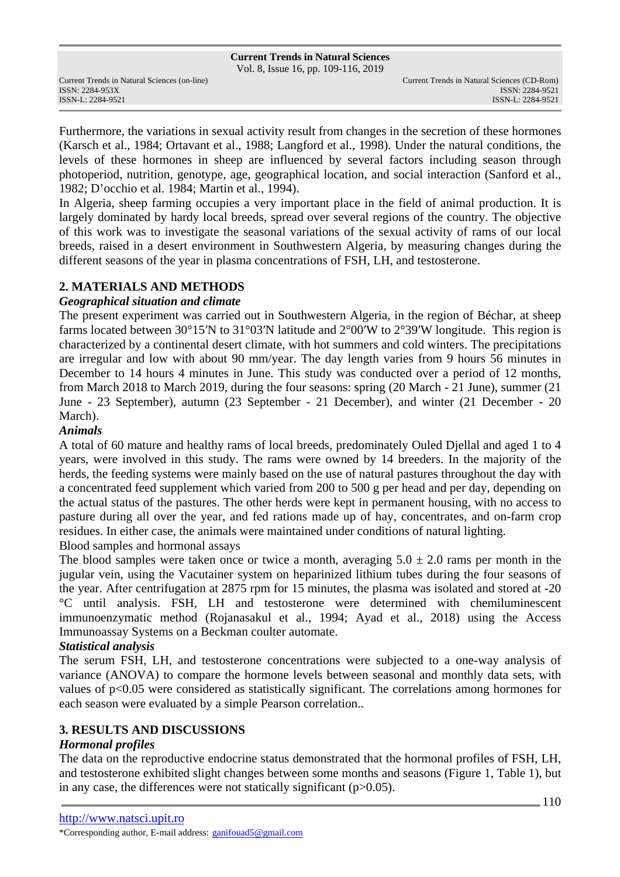Vol. 8, Issue 16, pp. 109-116, 2019

ISSN: 2284-953XISSN: 2284-9521

Furthermore, the variations in sexual activity result from changes in the secretion of these hormones (Karsch et al., 1984; Ortavant et al., 1988; Langford et al., 1998). Under the natural conditions, the levels of these hormones in sheep are influenced by several factors including season through photoperiod, nutrition, genotype, age, geographical location, and social interaction (Sanford et al., 1982; D'occhio et al. 1984; Martin et al., 1994).

In Algeria, sheep farming occupies a very important place in the field of animal production. It is largely dominated by hardy local breeds, spread over several regions of the country. The objective of this work was to investigate the seasonal variations of the sexual activity of rams of our local breeds, raised in a desert environment in Southwestern Algeria, by measuring changes during the different seasons of the year in plasma concentrations of FSH, LH, and testosterone.

## **2. MATERIALS AND METHODS**

### *Geographical situation and climate*

The present experiment was carried out in Southwestern Algeria, in the region of Béchar, at sheep farms located between 30°15′N to 31°03′N latitude and 2°00′W to 2°39′W longitude. This region is characterized by a continental desert climate, with hot summers and cold winters. The precipitations are irregular and low with about 90 mm/year. The day length varies from 9 hours 56 minutes in December to 14 hours 4 minutes in June. This study was conducted over a period of 12 months, from March 2018 to March 2019, during the four seasons: spring (20 March - 21 June), summer (21 June - 23 September), autumn (23 September - 21 December), and winter (21 December - 20 March).

### *Animals*

A total of 60 mature and healthy rams of local breeds, predominately Ouled Djellal and aged 1 to 4 years, were involved in this study. The rams were owned by 14 breeders. In the majority of the herds, the feeding systems were mainly based on the use of natural pastures throughout the day with a concentrated feed supplement which varied from 200 to 500 g per head and per day, depending on the actual status of the pastures. The other herds were kept in permanent housing, with no access to pasture during all over the year, and fed rations made up of hay, concentrates, and on-farm crop residues. In either case, the animals were maintained under conditions of natural lighting. Blood samples and hormonal assays

The blood samples were taken once or twice a month, averaging  $5.0 \pm 2.0$  rams per month in the jugular vein, using the Vacutainer system on heparinized lithium tubes during the four seasons of the year. After centrifugation at 2875 rpm for 15 minutes, the plasma was isolated and stored at -20 °C until analysis. FSH, LH and testosterone were determined with chemiluminescent immunoenzymatic method (Rojanasakul et al., 1994; Ayad et al., 2018) using the Access Immunoassay Systems on a Beckman coulter automate.

## *Statistical analysis*

The serum FSH, LH, and testosterone concentrations were subjected to a one-way analysis of variance (ANOVA) to compare the hormone levels between seasonal and monthly data sets, with values of p<0.05 were considered as statistically significant. The correlations among hormones for each season were evaluated by a simple Pearson correlation..

## **3. RESULTS AND DISCUSSIONS**

### *Hormonal profiles*

The data on the reproductive endocrine status demonstrated that the hormonal profiles of FSH, LH, and testosterone exhibited slight changes between some months and seasons (Figure 1, Table 1), but in any case, the differences were not statically significant  $(p>0.05)$ .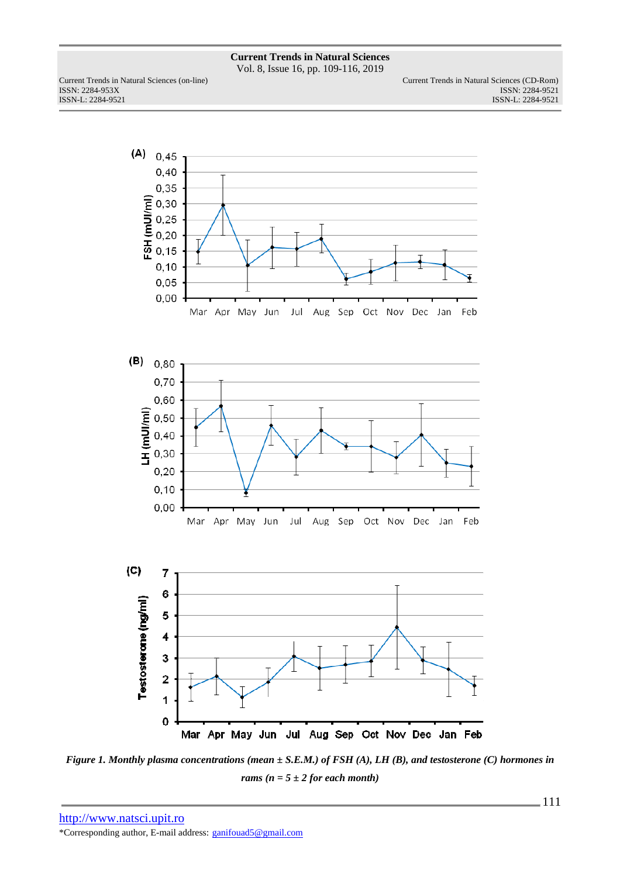Vol. 8, Issue 16, pp. 109-116, 2019

ISSN: 2284-953XISSN: 2284-9521

Current Trends in Natural Sciences (on-line) Current Trends in Natural Sciences (CD-Rom) ISSN-L: 2284-9521 ISSN-L: 2284-9521



*Figure 1. Monthly plasma concentrations (mean ± S.E.M.) of FSH (A), LH (B), and testosterone (C) hormones in rams*  $(n = 5 \pm 2$  *for each month*)

http://www.natsci.upit.ro \*Corresponding author, E-mail address: ganifouad5@gmail.com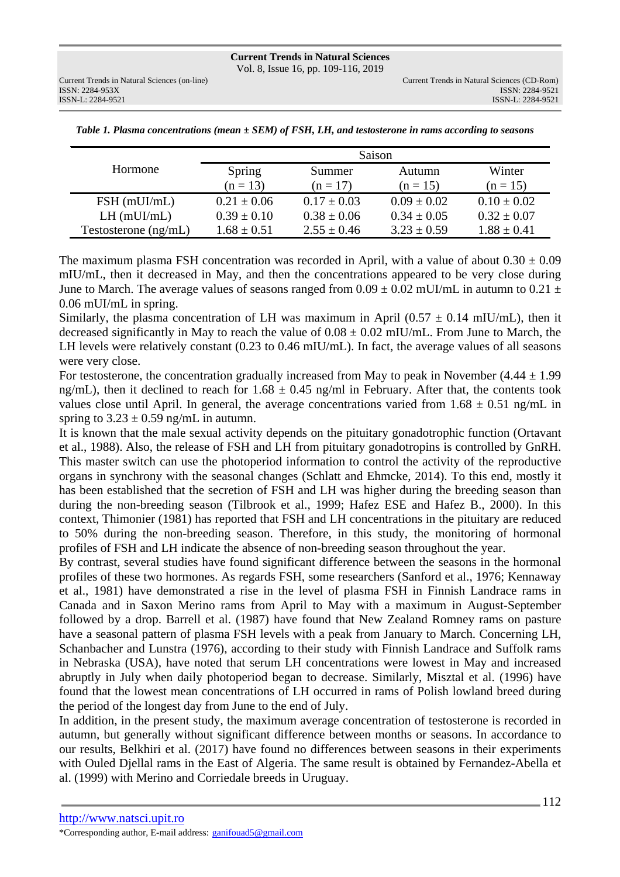ISSN: 2284-953XISSN: 2284-9521

|                        | Saison          |                  |                 |                 |  |
|------------------------|-----------------|------------------|-----------------|-----------------|--|
| Hormone                | Spring          | Summer<br>Autumn |                 | Winter          |  |
|                        | $(n = 13)$      | $(n = 17)$       | $(n = 15)$      | $(n = 15)$      |  |
| $FSH$ (mUI/mL)         | $0.21 \pm 0.06$ | $0.17 \pm 0.03$  | $0.09 \pm 0.02$ | $0.10 \pm 0.02$ |  |
| $LH$ (mUI/mL)          | $0.39 \pm 0.10$ | $0.38 \pm 0.06$  | $0.34 \pm 0.05$ | $0.32 \pm 0.07$ |  |
| Testosterone $(ng/mL)$ | $1.68 \pm 0.51$ | $2.55 \pm 0.46$  | $3.23 \pm 0.59$ | $1.88 \pm 0.41$ |  |

*Table 1. Plasma concentrations (mean ± SEM) of FSH, LH, and testosterone in rams according to seasons*

The maximum plasma FSH concentration was recorded in April, with a value of about  $0.30 \pm 0.09$ mIU/mL, then it decreased in May, and then the concentrations appeared to be very close during June to March. The average values of seasons ranged from  $0.09 \pm 0.02$  mUI/mL in autumn to  $0.21 \pm 0.02$ 0.06 mUI/mL in spring.

Similarly, the plasma concentration of LH was maximum in April (0.57  $\pm$  0.14 mIU/mL), then it decreased significantly in May to reach the value of  $0.08 \pm 0.02$  mIU/mL. From June to March, the LH levels were relatively constant (0.23 to 0.46 mIU/mL). In fact, the average values of all seasons were very close.

For testosterone, the concentration gradually increased from May to peak in November  $(4.44 \pm 1.99$ ng/mL), then it declined to reach for  $1.68 \pm 0.45$  ng/ml in February. After that, the contents took values close until April. In general, the average concentrations varied from  $1.68 \pm 0.51$  ng/mL in spring to  $3.23 \pm 0.59$  ng/mL in autumn.

It is known that the male sexual activity depends on the pituitary gonadotrophic function (Ortavant et al., 1988). Also, the release of FSH and LH from pituitary gonadotropins is controlled by GnRH. This master switch can use the photoperiod information to control the activity of the reproductive organs in synchrony with the seasonal changes (Schlatt and Ehmcke, 2014). To this end, mostly it has been established that the secretion of FSH and LH was higher during the breeding season than during the non-breeding season (Tilbrook et al., 1999; Hafez ESE and Hafez B., 2000). In this context, Thimonier (1981) has reported that FSH and LH concentrations in the pituitary are reduced to 50% during the non-breeding season. Therefore, in this study, the monitoring of hormonal profiles of FSH and LH indicate the absence of non-breeding season throughout the year.

By contrast, several studies have found significant difference between the seasons in the hormonal profiles of these two hormones. As regards FSH, some researchers (Sanford et al., 1976; Kennaway et al., 1981) have demonstrated a rise in the level of plasma FSH in Finnish Landrace rams in Canada and in Saxon Merino rams from April to May with a maximum in August-September followed by a drop. Barrell et al. (1987) have found that New Zealand Romney rams on pasture have a seasonal pattern of plasma FSH levels with a peak from January to March. Concerning LH, Schanbacher and Lunstra (1976), according to their study with Finnish Landrace and Suffolk rams in Nebraska (USA), have noted that serum LH concentrations were lowest in May and increased abruptly in July when daily photoperiod began to decrease. Similarly, Misztal et al. (1996) have found that the lowest mean concentrations of LH occurred in rams of Polish lowland breed during the period of the longest day from June to the end of July.

In addition, in the present study, the maximum average concentration of testosterone is recorded in autumn, but generally without significant difference between months or seasons. In accordance to our results, Belkhiri et al. (2017) have found no differences between seasons in their experiments with Ouled Djellal rams in the East of Algeria. The same result is obtained by Fernandez-Abella et al. (1999) with Merino and Corriedale breeds in Uruguay.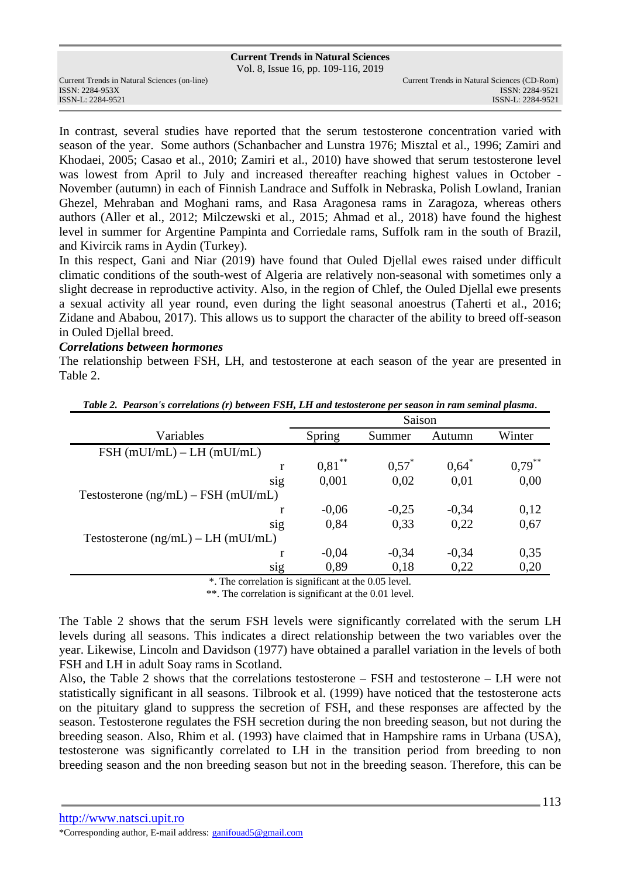Vol. 8, Issue 16, pp. 109-116, 2019

ISSN: 2284-953XISSN: 2284-9521

In contrast, several studies have reported that the serum testosterone concentration varied with season of the year. Some authors (Schanbacher and Lunstra 1976; Misztal et al., 1996; Zamiri and Khodaei, 2005; Casao et al., 2010; Zamiri et al., 2010) have showed that serum testosterone level was lowest from April to July and increased thereafter reaching highest values in October - November (autumn) in each of Finnish Landrace and Suffolk in Nebraska, Polish Lowland, Iranian Ghezel, Mehraban and Moghani rams, and Rasa Aragonesa rams in Zaragoza, whereas others authors (Aller et al., 2012; Milczewski et al., 2015; Ahmad et al., 2018) have found the highest level in summer for Argentine Pampinta and Corriedale rams, Suffolk ram in the south of Brazil, and Kivircik rams in Aydin (Turkey).

In this respect, Gani and Niar (2019) have found that Ouled Djellal ewes raised under difficult climatic conditions of the south-west of Algeria are relatively non-seasonal with sometimes only a slight decrease in reproductive activity. Also, in the region of Chlef, the Ouled Djellal ewe presents a sexual activity all year round, even during the light seasonal anoestrus (Taherti et al., 2016; Zidane and Ababou, 2017). This allows us to support the character of the ability to breed off-season in Ouled Djellal breed.

#### *Correlations between hormones*

The relationship between FSH, LH, and testosterone at each season of the year are presented in Table 2.

|                                                       | Saison    |          |         |           |  |  |
|-------------------------------------------------------|-----------|----------|---------|-----------|--|--|
| Variables                                             | Spring    | Summer   | Autumn  | Winter    |  |  |
| $FSH$ (mUI/mL) – LH (mUI/mL)                          |           |          |         |           |  |  |
| r                                                     | $0.81***$ | $0.57^*$ | $0.64*$ | $0.79***$ |  |  |
| sig                                                   | 0,001     | 0,02     | 0,01    | 0,00      |  |  |
| Testosterone $(ng/mL)$ – FSH $(mUI/mL)$               |           |          |         |           |  |  |
|                                                       | $-0.06$   | $-0,25$  | $-0,34$ | 0,12      |  |  |
| sig                                                   | 0,84      | 0,33     | 0,22    | 0,67      |  |  |
| Testosterone $(ng/mL) - LH$ (mUI/mL)                  |           |          |         |           |  |  |
|                                                       | $-0.04$   | $-0.34$  | $-0,34$ | 0,35      |  |  |
| sig                                                   | 0,89      | 0,18     | 0,22    | 0,20      |  |  |
| $*$ The completion is significant at the $0.05$ lavel |           |          |         |           |  |  |

*Table 2. Pearson's correlations (r) between FSH, LH and testosterone per season in ram seminal plasma*.

. The correlation is significant at the 0.05 level.

\*\*. The correlation is significant at the 0.01 level.

The Table 2 shows that the serum FSH levels were significantly correlated with the serum LH levels during all seasons. This indicates a direct relationship between the two variables over the year. Likewise, Lincoln and Davidson (1977) have obtained a parallel variation in the levels of both FSH and LH in adult Soay rams in Scotland.

Also, the Table 2 shows that the correlations testosterone – FSH and testosterone – LH were not statistically significant in all seasons. Tilbrook et al. (1999) have noticed that the testosterone acts on the pituitary gland to suppress the secretion of FSH, and these responses are affected by the season. Testosterone regulates the FSH secretion during the non breeding season, but not during the breeding season. Also, Rhim et al. (1993) have claimed that in Hampshire rams in Urbana (USA), testosterone was significantly correlated to LH in the transition period from breeding to non breeding season and the non breeding season but not in the breeding season. Therefore, this can be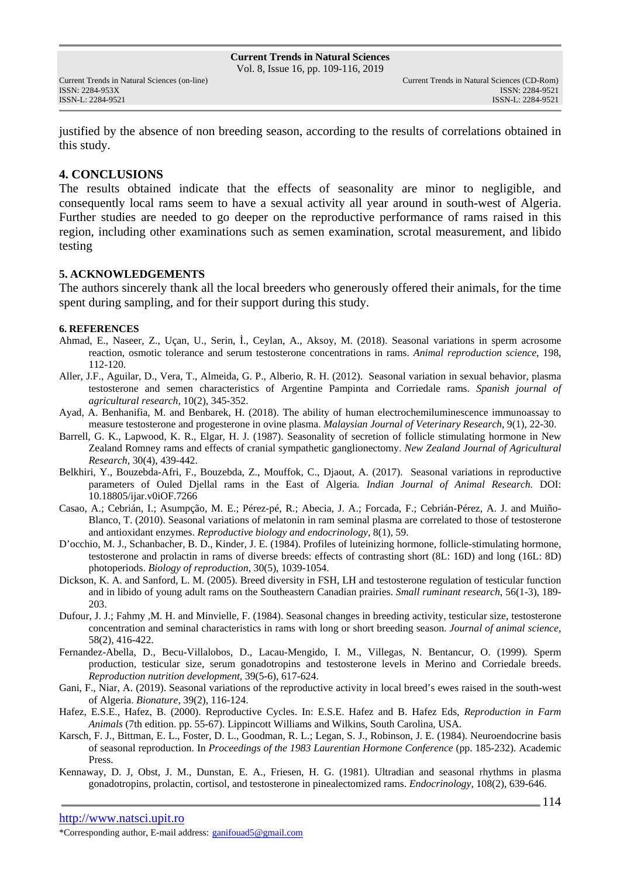ISSN: 2284-953XISSN: 2284-9521

justified by the absence of non breeding season, according to the results of correlations obtained in this study.

## **4. CONCLUSIONS**

The results obtained indicate that the effects of seasonality are minor to negligible, and consequently local rams seem to have a sexual activity all year around in south-west of Algeria. Further studies are needed to go deeper on the reproductive performance of rams raised in this region, including other examinations such as semen examination, scrotal measurement, and libido testing

### **5. ACKNOWLEDGEMENTS**

The authors sincerely thank all the local breeders who generously offered their animals, for the time spent during sampling, and for their support during this study.

#### **6. REFERENCES**

- Ahmad, E., Naseer, Z., Uçan, U., Serin, İ., Ceylan, A., Aksoy, M. (2018). Seasonal variations in sperm acrosome reaction, osmotic tolerance and serum testosterone concentrations in rams. *Animal reproduction science*, 198, 112-120.
- Aller, J.F., Aguilar, D., Vera, T., Almeida, G. P., Alberio, R. H. (2012). Seasonal variation in sexual behavior, plasma testosterone and semen characteristics of Argentine Pampinta and Corriedale rams. *Spanish journal of agricultural research,* 10(2), 345-352.
- Ayad, A. Benhanifia, M. and Benbarek, H. (2018). The ability of human electrochemiluminescence immunoassay to measure testosterone and progesterone in ovine plasma. *Malaysian Journal of Veterinary Research*, 9(1), 22-30.
- Barrell, G. K., Lapwood, K. R., Elgar, H. J. (1987). Seasonality of secretion of follicle stimulating hormone in New Zealand Romney rams and effects of cranial sympathetic ganglionectomy. *New Zealand Journal of Agricultural Research*, 30(4), 439-442.
- Belkhiri, Y., Bouzebda-Afri, F., Bouzebda, Z., Mouffok, C., Djaout, A. (2017). Seasonal variations in reproductive parameters of Ouled Djellal rams in the East of Algeria*. Indian Journal of Animal Research.* DOI: 10.18805/ijar.v0iOF.7266
- Casao, A.; Cebrián, I.; Asumpção, M. E.; Pérez-pé, R.; Abecia, J. A.; Forcada, F.; Cebrián-Pérez, A. J. and Muiño-Blanco, T. (2010). Seasonal variations of melatonin in ram seminal plasma are correlated to those of testosterone and antioxidant enzymes. *Reproductive biology and endocrinology*, 8(1), 59.
- D'occhio, M. J., Schanbacher, B. D., Kinder, J. E. (1984). Profiles of luteinizing hormone, follicle-stimulating hormone, testosterone and prolactin in rams of diverse breeds: effects of contrasting short (8L: 16D) and long (16L: 8D) photoperiods. *Biology of reproduction*, 30(5), 1039-1054.
- Dickson, K. A. and Sanford, L. M. (2005). Breed diversity in FSH, LH and testosterone regulation of testicular function and in libido of young adult rams on the Southeastern Canadian prairies. *Small ruminant research*, 56(1-3), 189- 203.
- Dufour, J. J.; Fahmy ,M. H. and Minvielle, F. (1984). Seasonal changes in breeding activity, testicular size, testosterone concentration and seminal characteristics in rams with long or short breeding season. *Journal of animal science*, 58(2), 416-422.
- Fernandez-Abella, D., Becu-Villalobos, D., Lacau-Mengido, I. M., Villegas, N. Bentancur, O. (1999). Sperm production, testicular size, serum gonadotropins and testosterone levels in Merino and Corriedale breeds. *Reproduction nutrition development*, 39(5-6), 617-624.
- Gani, F., Niar, A. (2019). Seasonal variations of the reproductive activity in local breed's ewes raised in the south-west of Algeria. *Bionature*, 39(2), 116-124.
- Hafez, E.S.E., Hafez, B. (2000). Reproductive Cycles. In: E.S.E. Hafez and B. Hafez Eds, *Reproduction in Farm Animals* (7th edition. pp. 55-67). Lippincott Williams and Wilkins, South Carolina, USA.
- Karsch, F. J., Bittman, E. L., Foster, D. L., Goodman, R. L.; Legan, S. J., Robinson, J. E. (1984). Neuroendocrine basis of seasonal reproduction. In *Proceedings of the 1983 Laurentian Hormone Conference* (pp. 185-232). Academic Press.
- Kennaway, D. J, Obst, J. M., Dunstan, E. A., Friesen, H. G. (1981). Ultradian and seasonal rhythms in plasma gonadotropins, prolactin, cortisol, and testosterone in pinealectomized rams. *Endocrinology*, 108(2), 639-646.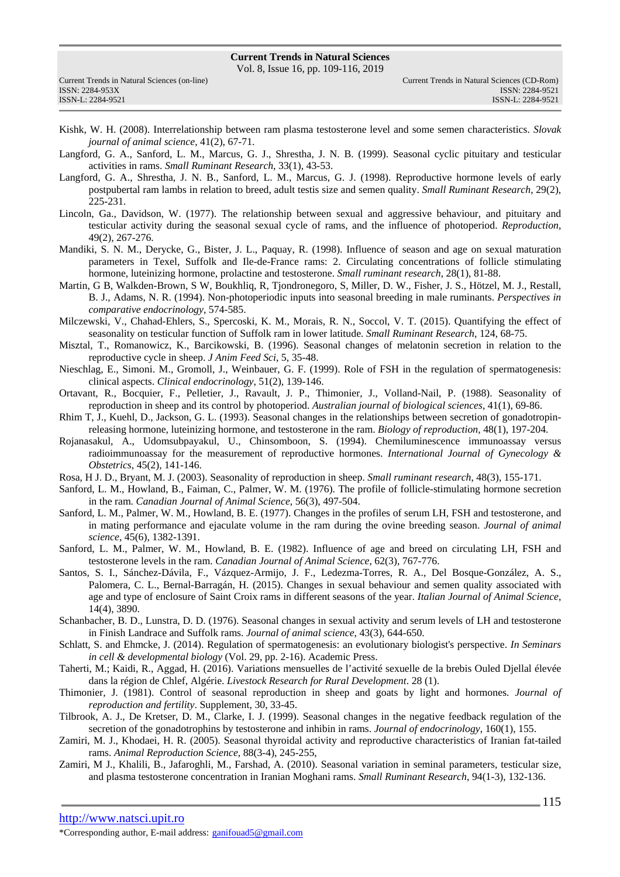Vol. 8, Issue 16, pp. 109-116, 2019

| Current Trends in Natural Sciences (on-line) |  |
|----------------------------------------------|--|
| ISSN: 2284-953X                              |  |
| ISSN-L: 2284-9521                            |  |

- Kishk, W. H. (2008). Interrelationship between ram plasma testosterone level and some semen characteristics. *Slovak journal of animal science*, 41(2), 67-71.
- Langford, G. A., Sanford, L. M., Marcus, G. J., Shrestha, J. N. B. (1999). Seasonal cyclic pituitary and testicular activities in rams. *Small Ruminant Research*, 33(1), 43-53.
- Langford, G. A., Shrestha, J. N. B., Sanford, L. M., Marcus, G. J. (1998). Reproductive hormone levels of early postpubertal ram lambs in relation to breed, adult testis size and semen quality. *Small Ruminant Research*, 29(2), 225-231.
- Lincoln, Ga., Davidson, W. (1977). The relationship between sexual and aggressive behaviour, and pituitary and testicular activity during the seasonal sexual cycle of rams, and the influence of photoperiod. *Reproduction*, 49(2), 267-276.
- Mandiki, S. N. M., Derycke, G., Bister, J. L., Paquay, R. (1998). Influence of season and age on sexual maturation parameters in Texel, Suffolk and Ile-de-France rams: 2. Circulating concentrations of follicle stimulating hormone, luteinizing hormone, prolactine and testosterone. *Small ruminant research*, 28(1), 81-88.
- Martin, G B, Walkden-Brown, S W, Boukhliq, R, Tjondronegoro, S, Miller, D. W., Fisher, J. S., Hötzel, M. J., Restall, B. J., Adams, N. R. (1994). Non-photoperiodic inputs into seasonal breeding in male ruminants. *Perspectives in comparative endocrinology*, 574-585.
- Milczewski, V., Chahad-Ehlers, S., Spercoski, K. M., Morais, R. N., Soccol, V. T. (2015). Quantifying the effect of seasonality on testicular function of Suffolk ram in lower latitude. *Small Ruminant Research*, 124, 68-75.
- Misztal, T., Romanowicz, K., Barcikowski, B. (1996). Seasonal changes of melatonin secretion in relation to the reproductive cycle in sheep. *J Anim Feed Sci*, 5, 35-48.
- Nieschlag, E., Simoni. M., Gromoll, J., Weinbauer, G. F. (1999). Role of FSH in the regulation of spermatogenesis: clinical aspects. *Clinical endocrinology*, 51(2), 139-146.
- Ortavant, R., Bocquier, F., Pelletier, J., Ravault, J. P., Thimonier, J., Volland-Nail, P. (1988). Seasonality of reproduction in sheep and its control by photoperiod. *Australian journal of biological sciences*, 41(1), 69-86.
- Rhim T, J., Kuehl, D., Jackson, G. L. (1993). Seasonal changes in the relationships between secretion of gonadotropinreleasing hormone, luteinizing hormone, and testosterone in the ram. *Biology of reproduction*, 48(1), 197-204.
- Rojanasakul, A., Udomsubpayakul, U., Chinsomboon, S. (1994). Chemiluminescence immunoassay versus radioimmunoassay for the measurement of reproductive hormones. *International Journal of Gynecology & Obstetrics*, 45(2), 141-146.
- Rosa, H J. D., Bryant, M. J. (2003). Seasonality of reproduction in sheep. *Small ruminant research*, 48(3), 155-171.
- Sanford, L. M., Howland, B., Faiman, C., Palmer, W. M. (1976). The profile of follicle-stimulating hormone secretion in the ram. *Canadian Journal of Animal Science*, 56(3), 497-504.
- Sanford, L. M., Palmer, W. M., Howland, B. E. (1977). Changes in the profiles of serum LH, FSH and testosterone, and in mating performance and ejaculate volume in the ram during the ovine breeding season. *Journal of animal science*, 45(6), 1382-1391.
- Sanford, L. M., Palmer, W. M., Howland, B. E. (1982). Influence of age and breed on circulating LH, FSH and testosterone levels in the ram. *Canadian Journal of Animal Science*, 62(3), 767-776.
- Santos, S. I., Sánchez-Dávila, F., Vázquez-Armijo, J. F., Ledezma-Torres, R. A., Del Bosque-González, A. S., Palomera, C. L., Bernal-Barragán, H. (2015). Changes in sexual behaviour and semen quality associated with age and type of enclosure of Saint Croix rams in different seasons of the year. *Italian Journal of Animal Science*, 14(4), 3890.
- Schanbacher, B. D., Lunstra, D. D. (1976). Seasonal changes in sexual activity and serum levels of LH and testosterone in Finish Landrace and Suffolk rams. *Journal of animal science*, 43(3), 644-650.
- Schlatt, S. and Ehmcke, J. (2014). Regulation of spermatogenesis: an evolutionary biologist's perspective. *In Seminars in cell & developmental biology* (Vol. 29, pp. 2-16). Academic Press.
- Taherti, M.; Kaidi, R., Aggad, H. (2016). Variations mensuelles de l'activité sexuelle de la brebis Ouled Djellal élevée dans la région de Chlef, Algérie. *Livestock Research for Rural Development*. 28 (1).
- Thimonier, J. (1981). Control of seasonal reproduction in sheep and goats by light and hormones. *Journal of reproduction and fertility*. Supplement, 30, 33-45.
- Tilbrook, A. J., De Kretser, D. M., Clarke, I. J. (1999). Seasonal changes in the negative feedback regulation of the secretion of the gonadotrophins by testosterone and inhibin in rams. *Journal of endocrinology*, 160(1), 155.
- Zamiri, M. J., Khodaei, H. R. (2005). Seasonal thyroidal activity and reproductive characteristics of Iranian fat-tailed rams. *Animal Reproduction Science*, 88(3-4), 245-255,
- Zamiri, M J., Khalili, B., Jafaroghli, M., Farshad, A. (2010). Seasonal variation in seminal parameters, testicular size, and plasma testosterone concentration in Iranian Moghani rams. *Small Ruminant Research*, 94(1-3), 132-136.

http://www.natsci.upit.ro

\*Corresponding author, E-mail address: ganifouad5@gmail.com